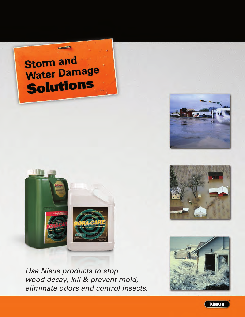# **Storm and Water Damage** Solutions







*Use Nisus products to stop wood decay, kill & prevent mold, eliminate odors and control insects.*



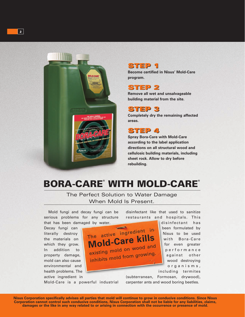



#### STEP 1

**Become certified in Nisus' Mold-Care program.**

#### STEP 2 STEP 2

**Remove all wet and unsalvageable building material from the site.**

#### STEP 3 STEP 3

**Completely dry the remaining affected areas.**

#### STEP 4 STEP 4

**Spray Bora-Care with Mold-Care according to the label application directions on all structural wood and cellulosic building materials, including sheet rock. Allow to dry before rebuilding.**

## BORA-CARE® WITH MOLD-CARE®

The Perfect Solution to Water Damage When Mold Is Present.

Mold fungi and decay fungi can be serious problems for any structure that has been damaged by water.

Decay fungi can literally destroy the materials on which they grow. In addition to property damage, mold can also cause environmental and health problems. The active ingredient in



disinfectant like that used to sanitize restaurants and hospitals. This

disinfectant has been formulated by Nisus to be used with Bora-Care for even greater p e r f o r m a n c e against other wood destroying o r g a n i s m s ,

including termites

(subterranean, Formosan, drywood), carpenter ants and wood boring beetles.

Mold-Care is a powerful industrial

**Nisus Corporation specifically advises all parties that mold will continue to grow in conducive conditions. Since Nisus Corporation cannot control such conducive conditions, Nisus Corporation shall not be liable for any liabilities, claims, damages or the like in any way related to or arising in connection with the occurrence or presence of mold.**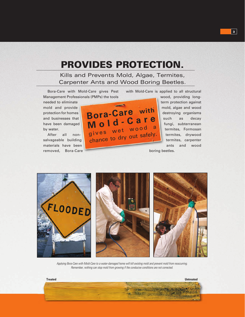### PROVIDES PROTECTION.

#### Kills and Prevents Mold, Algae, Termites, Carpenter Ants and Wood Boring Beetles.

Bora-Care with Mold-Care gives Pest Management Professionals (PMPs) the tools

needed to eliminate mold and provide protection for homes and businesses that have been damaged by water.

After all nonsalvageable building materials have been removed, Bora-Care



with Mold-Care is applied to all structural wood, providing longterm protection against mold, algae and wood destroying organisms such as decay fungi, subterranean termites, Formosan termites, drywood termites, carpenter ants and wood

boring beetles.



*Applying Bora-Care with Mold-Care to a water-damaged home will kill existing mold and prevent mold from reoccurring. Remember, nothing can stop mold from growing if the conducive conditions are not corrected.*

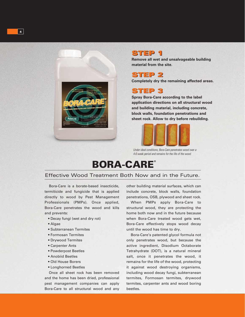



### STEP 1 STEP 1

**Remove all wet and unsalvageable building material from the site.**

STEP 2 STEP 2

**Completely dry the remaining affected areas.**



**Spray Bora-Care according to the label application directions on all structural wood and building material, including concrete, block walls, foundation penetrations and sheet rock. Allow to dry before rebuilding.**



*Under ideal conditions, Bora-Care penetrates wood over a 4-6 week period and remains for the life of the wood.*

### BORA-CARE®

#### Effective Wood Treatment Both Now and in the Future.

Bora-Care is a borate-based insecticide, termiticide and fungicide that is applied directly to wood by Pest Management Professionals (PMPs). Once applied, Bora-Care penetrates the wood and kills and prevents:

- Decay fungi (wet and dry rot)
- Algae
- Subterranean Termites
- Formosan Termites
- Drywood Termites
- Carpenter Ants
- Powderpost Beetles
- Anobiid Beetles
- Old House Borers
- Longhorned Beetles

Once all sheet rock has been removed and the home has been dried, professional pest management companies can apply Bora-Care to all structural wood and any other building material surfaces, which can include concrete, block walls, foundation penetrations, OSB, plywood and sheet rock.

When PMPs apply Bora-Care to structural wood, they are protecting the home both now and in the future because when Bora-Care treated wood gets wet, Bora-Care effectively stops wood decay until the wood has time to dry.

Bora-Care's patented glycol formula not only penetrates wood, but because the active ingredient, Disodium Octaborate Tetrahydrate (DOT), is a natural mineral salt, once it penetrates the wood, it remains for the life of the wood, protecting it against wood destroying organisms, including wood decay fungi, subterranean termites, Formosan termites, drywood termites, carpenter ants and wood boring beetles.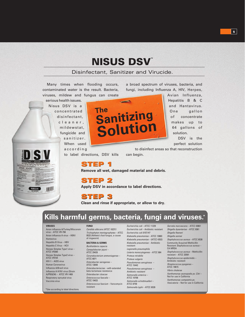## NISUS DSV™

#### Disinfectant, Sanitizer and Virucide.

Many times when flooding occurs, contaminated water is the result. Bacteria, viruses, mildew and fungus can create

serious health issues. Nisus DSV is a concentrated disinfectant, c l e a n e r , mildewstat, fungicide and sanitizer. When used

a c c o r d i n g



Avian Influenza, Hepatitis B & C and Hantavirus. One gallon of concentrate makes up to 64 gallons of solution. DSV is the

perfect solution

to label directions, DSV kills to disinfect areas so that reconstruction can begin.

a broad spectrum of viruses, bacteria, and fungi, including Influenza A, HIV, Herpes,

STEP 1

**Remove all wet, damaged material and debris.**

#### STEP 2

**Apply DSV in accordance to label directions.**

#### STEP 3 STEP 3

**Clean and rinse if appropriate, or allow to dry.**

### **Kills harmful germs, bacteria, fungi and viruses.\***

#### **VIRUSES**

TILL

Avian influenza A/Turkey/Wisconsin virus – ATCC VR-798 Avian influenza A virus – H5N1 Hantavirus Hepatitis B Virus – HBV Hepatitis C Virus – HCV Herpes Simplex Type1 virus – ATCC VR260 Herpes Simplex Type2 virus – ATCC VR734 HIV-1 – AIDS virus Human Coronavirus Influenza A/Brazil virus Influenza A H1N1 virus (Strain A/PR/8/34) – ATCC VR-1469 Respiratory syncytial virus Vaccinia virus

\*Use according to label directions.

### **FUNGI**

*Candida albicans (ATCC 10231) Trichophyton mentagrophytes –* ATCC 9533 (Athlete's foot fungus, a cause of ringworm)

#### **BACTERIA & GERMS**

*Burkholderia cepecia Campylobacter jejuni –*  ATCC 29428 *Corynebacterium ammoniagenes –*  ATCC 6871 *Enterobacter aerogenes –*  ATCC 13048 *Enterobacteriaciae –* with extended beta-lactamase resistance *Enterobacter cloacae Enterococcus faecalis –*  ATCC 19433 *Enterococcus faecium –* Vancomycin resistant

*Escherichia coli –* ATCC 11229 *Escherichia coli –* Antibiotic resistant *Escherichia coli 0157:H7 Klebsiella pneumoniae –* ATCC 13883 *Klebsiella pneumoniae –* (ATCC 4352) *Klebsiella pneumoniae –* Antibiotic resistant *Legionella pneumophila*

*Listeria monocytogenes –* ATCC 984 *Proteus mirabilis Proteus vulgaris Pseudomonas aeruginosa –*  ATCC 15442 *Pseudomonas aeruginosa – Antibiotic resistant Salmonella enterica –*  ATCC 10708 *Salmonella schottmuelleri –*  ATCC 8759 *Salmonella typhi –* ATCC 6539

*Serratia marcescens –* ATCC 43861 *Shigella dysenteriae –* ATCC 9361 *Shigella flexneri Shigella sonnei Staphylococcus aureus –* ATCC 6538 Community Acquired Methicillin Resistant *Staphylococcus aureus –*  CA MRSA *Staphylococcus aureus –* Methicillin resistant – ATCC 33591 *Staphylococcus epidermidis –*  Antibiotic resistant *Streptococcus pyogenes –*  **ATCC 19615** *Vibrio cholerae Xanthomonas axonopodis pv. Citri –*  Not for use in California *Xanthomonas campestris pv. Vesicatoria –* Not for use in California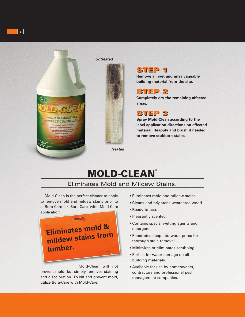

#### *Untreated*



### STEP 1 STEP 1

**Remove all wet and unsalvageable building material from the site.**

#### STEP 2 STEP 2

**Completely dry the remaining affected areas.**

STEP 3 STEP 3

**Spray Mold-Clean according to the label application directions on affected material. Reapply and brush if needed to remove stubborn stains.**

## **MOLD-CLEAN®**

#### Eliminates Mold and Mildew Stains.

Mold-Clean is the perfect cleaner to apply to remove mold and mildew stains prior to a Bora-Care or Bora-Care with Mold-Care application.



Mold-Clean will not prevent mold, but simply removes staining and discoloration. To kill and prevent mold, utilize Bora-Care with Mold-Care.

- Eliminates mold and mildew stains.
- Cleans and brightens weathered wood.
- Ready-to-use.
- Pleasantly scented.
- Contains special wetting agents and detergents.
- Penetrates deep into wood pores for thorough stain removal.
- Minimizes or eliminates scrubbing.
- Perfect for water damage on all building materials.
- Available for use by homeowners, contractors and professional pest management companies.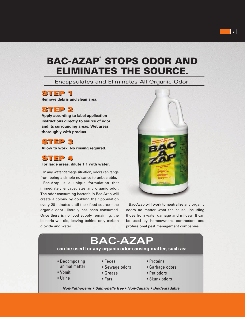### BAC-AZAP® STOPS ODOR AND ELIMINATES THE SOURCE.

Encapsulates and Eliminates All Organic Odor.

#### STEP 1 STEP 1

**Remove debris and clean area.**

#### STEP 2 STEP 2

**Apply according to label application instructions directly to source of odor and its surrounding areas. Wet areas thoroughly with product.**

#### STEP 3 STEP 3

**Allow to work. No rinsing required.**

### STEP 4 STEP 4

**For large areas, dilute 1:1 with water.**

In any water damage situation, odors can range from being a simple nuisance to unbearable.

Bac-Azap is a unique formulation that immediately encapsulates any organic odor. The odor-consuming bacteria in Bac-Azap will create a colony by doubling their population every 20 minutes until their food source—the organic odor—literally has been consumed. Once there is no food supply remaining, the bacteria will die, leaving behind only carbon dioxide and water.

odors no matter what the cause, including those from water damage and mildew. It can be used by homeowners, contractors and professional pest management companies.

### **BAC-AZAP**

#### **can be used for any organic odor-causing matter, such as:**

- Decomposing animal matter
- Feces • Sewage odors
- Vomit

• Urine

- Grease
- Fats
- Proteins
- Garbage odors
- Pet odors
- Skunk odors

*Non-Pathogenic • Salmonella free • Non-Caustic • Biodegradable*